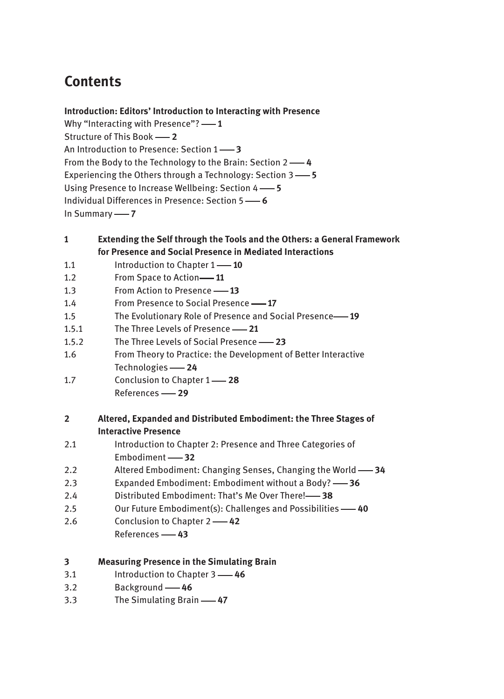# **Contents**

### **Introduction: Editors' Introduction to Interacting with Presence**

Why "Interacting with Presence"? — 1 Structure of This Book -2 An Introduction to Presence: Section 1 - 3 From the Body to the Technology to the Brain: Section 2 -- 4 Experiencing the Others through a Technology: Section 3 -5 Using Presence to Increase Wellbeing: Section 4 –– 5 Individual Differences in Presence: Section 5  **6** In Summary -- 7

#### **1 Extending the Self through the Tools and the Others: a General Framework for Presence and Social Presence in Mediated Interactions**

- 1.1 Introduction to Chapter 1 -- 10
- 1.2 From Space to Action -- 11
- 1.3 From Action to Presence -- 13
- 1.4 From Presence to Social Presence  **17**
- 1.5 The Evolutionary Role of Presence and Social Presence **19**
- 1.5.1 The Three Levels of Presence -21
- 1.5.2 The Three Levels of Social Presence -23
- 1.6 From Theory to Practice: the Development of Better Interactive Technologies **- 24**
- 1.7 Conclusion to Chapter 1  **28** References  **29**

## **2 Altered, Expanded and Distributed Embodiment: the Three Stages of Interactive Presence**

| 2.1 | Introduction to Chapter 2: Presence and Three Categories of |
|-----|-------------------------------------------------------------|
|     | Embodiment -82                                              |

- 2.2 Altered Embodiment: Changing Senses, Changing the World 34
- 2.3 Expanded Embodiment: Embodiment without a Body? 36
- 2.4 Distributed Embodiment: That's Me Over There!-<sup>38</sup>
- 2.5 Our Future Embodiment(s): Challenges and Possibilities  $\rightarrow$  40
- 2.6 Conclusion to Chapter 2  **42**
	- References  **43**

| 3 |  |  | <b>Measuring Presence in the Simulating Brain</b> |  |
|---|--|--|---------------------------------------------------|--|
|---|--|--|---------------------------------------------------|--|

- 3.1 Introduction to Chapter 3 **46**
- 3.2 Background -- 46
- 3.3 The Simulating Brain **-47**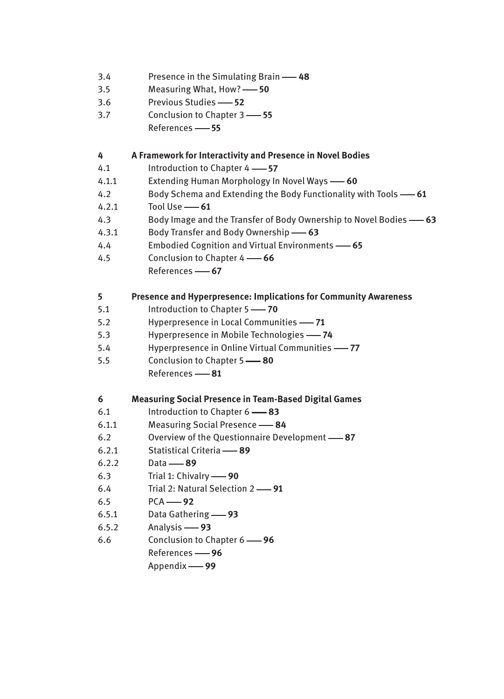| 3.4<br>3.5<br>3.6<br>3.7                                                                 | Presence in the Simulating Brain -48<br>Measuring What, How? - 50<br>Previous Studies -62<br>Conclusion to Chapter 3 - 55<br>References -65                                                                                                                                                                                                                                                                                                     |
|------------------------------------------------------------------------------------------|-------------------------------------------------------------------------------------------------------------------------------------------------------------------------------------------------------------------------------------------------------------------------------------------------------------------------------------------------------------------------------------------------------------------------------------------------|
| 4<br>4.1<br>4.1.1<br>4.2<br>4.2.1<br>4.3<br>4.3.1<br>4.4<br>4.5                          | A Framework for Interactivity and Presence in Novel Bodies<br>Introduction to Chapter 4 -87<br>Extending Human Morphology In Novel Ways -60<br>Body Schema and Extending the Body Functionality with Tools -61<br>Tool Use -61<br>Body Image and the Transfer of Body Ownership to Novel Bodies -63<br>Body Transfer and Body Ownership -63<br>Embodied Cognition and Virtual Environments -65<br>Conclusion to Chapter 4 -66<br>References -67 |
| 5<br>5.1<br>5.2<br>5.3<br>5.4<br>5.5                                                     | Presence and Hyperpresence: Implications for Community Awareness<br>Introduction to Chapter 5 - 70<br>Hyperpresence in Local Communities -71<br>Hyperpresence in Mobile Technologies -74<br>Hyperpresence in Online Virtual Communities -77<br>Conclusion to Chapter 5 -80<br>References -81                                                                                                                                                    |
| 6<br>6.1<br>6.1.1<br>6.2<br>6.2.1<br>6.2.2<br>6.3<br>6.4<br>6.5<br>6.5.1<br>6.5.2<br>6.6 | <b>Measuring Social Presence in Team-Based Digital Games</b><br>Introduction to Chapter 6 -83<br><b>Measuring Social Presence -84</b><br>Overview of the Questionnaire Development -87<br>Statistical Criteria -89<br>Data $-89$<br>Trial 1: Chivalry - 90<br>Trial 2: Natural Selection 2 -91<br>$PCA$ -92<br>Data Gathering - 93<br>Analysis -93<br>Conclusion to Chapter 6 - 96<br>References -86<br>Appendix -99                            |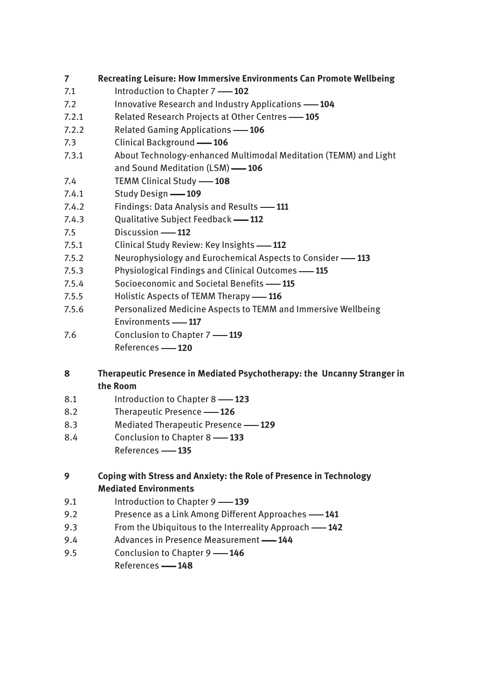- **7 Recreating Leisure: How Immersive Environments Can Promote Wellbeing**
- 7.1 Introduction to Chapter 7 **-102**
- 7.2 Innovative Research and Industry Applications **104**
- 7.2.1 Related Research Projects at Other Centres  **105**
- 7.2.2 Related Gaming Applications  **106**
- 7.3 Clinical Background **-106**
- 7.3.1 About Technology-enhanced Multimodal Meditation (TEMM) and Light and Sound Meditation (LSM) **-106**
- 7.4 **TEMM Clinical Study -108**
- 7.4.1 Study Design **-109**
- 7.4.2 Findings: Data Analysis and Results 111
- 7.4.3 Qualitative Subject Feedback  **112**
- 7.5 Discussion **112**
- 7.5.1 Clinical Study Review: Key Insights -112
- 7.5.2 Neurophysiology and Eurochemical Aspects to Consider -113
- 7.5.3 Physiological Findings and Clinical Outcomes  **115**
- 7.5.4 Socioeconomic and Societal Benefits  **115**
- 7.5.5 Holistic Aspects of TEMM Therapy -- 116
- 7.5.6 Personalized Medicine Aspects to TEMM and Immersive Wellbeing Environments -117
- 7.6 Conclusion to Chapter 7 **119** References **120**

#### **8 Therapeutic Presence in Mediated Psychotherapy: the Uncanny Stranger in the Room**

- 8.1 Introduction to Chapter 8 -123
- 8.2 Therapeutic Presence -126
- 8.3 Mediated Therapeutic Presence **129**
- 8.4 Conclusion to Chapter 8 **133**
	- References **135**

## **9 Coping with Stress and Anxiety: the Role of Presence in Technology Mediated Environments**

- 9.1 Introduction to Chapter 9 **139**
- 9.2 Presence as a Link Among Different Approaches **141**
- 9.3 From the Ubiquitous to the Interreality Approach **142**
- 9.4 Advances in Presence Measurement **144**
- 9.5 Conclusion to Chapter 9 **146**

References **148**